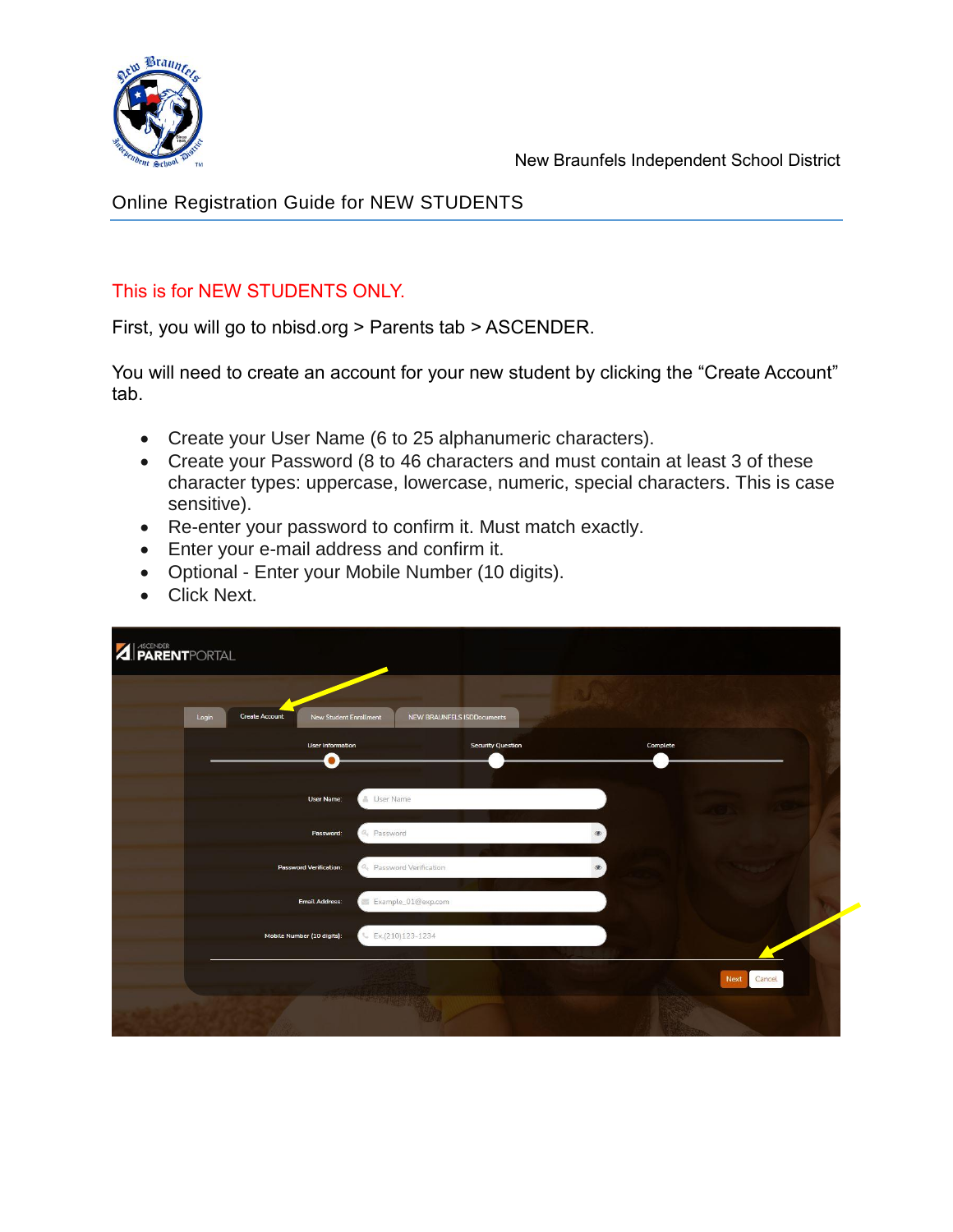

Online Registration Guide for NEW STUDENTS

#### This is for NEW STUDENTS ONLY.

First, you will go to nbisd.org > Parents tab > ASCENDER.

You will need to create an account for your new student by clicking the "Create Account" tab.

- Create your User Name (6 to 25 alphanumeric characters).
- Create your Password (8 to 46 characters and must contain at least 3 of these character types: uppercase, lowercase, numeric, special characters. This is case sensitive).
- Re-enter your password to confirm it. Must match exactly.
- Enter your e-mail address and confirm it.
- Optional Enter your Mobile Number (10 digits).
- Click Next.

| <b>AI</b> ASCENDER<br><b>PARENT</b> PORTAL |                                                 |                                          |                                   |                             |                |
|--------------------------------------------|-------------------------------------------------|------------------------------------------|-----------------------------------|-----------------------------|----------------|
| Login                                      | <b>Create Account</b><br>New Student Enrollment |                                          | <b>NEW BRAUNFELS ISDDocuments</b> |                             |                |
|                                            | <b>User Information</b><br>$\bullet$            |                                          | <b>Security Question</b>          | Complete                    |                |
|                                            | User Name:                                      | & User Name                              |                                   |                             |                |
|                                            | Password:                                       | <sup><i>Q<sub>e</sub></i></sup> Password |                                   | $\circledast$               |                |
|                                            | <b>Password Verification:</b>                   | <sup>Q</sup> e Password Verification     |                                   | $\qquad \qquad \circledast$ |                |
|                                            | <b>Email Address:</b>                           | Example_01@exp.com                       |                                   |                             |                |
|                                            | Mobile Number (10 digits):                      | & Ex.(210)123-1234                       |                                   |                             |                |
|                                            |                                                 |                                          |                                   |                             | Next<br>Cancel |
|                                            |                                                 | <b>NAME OF BUILDING</b>                  |                                   |                             |                |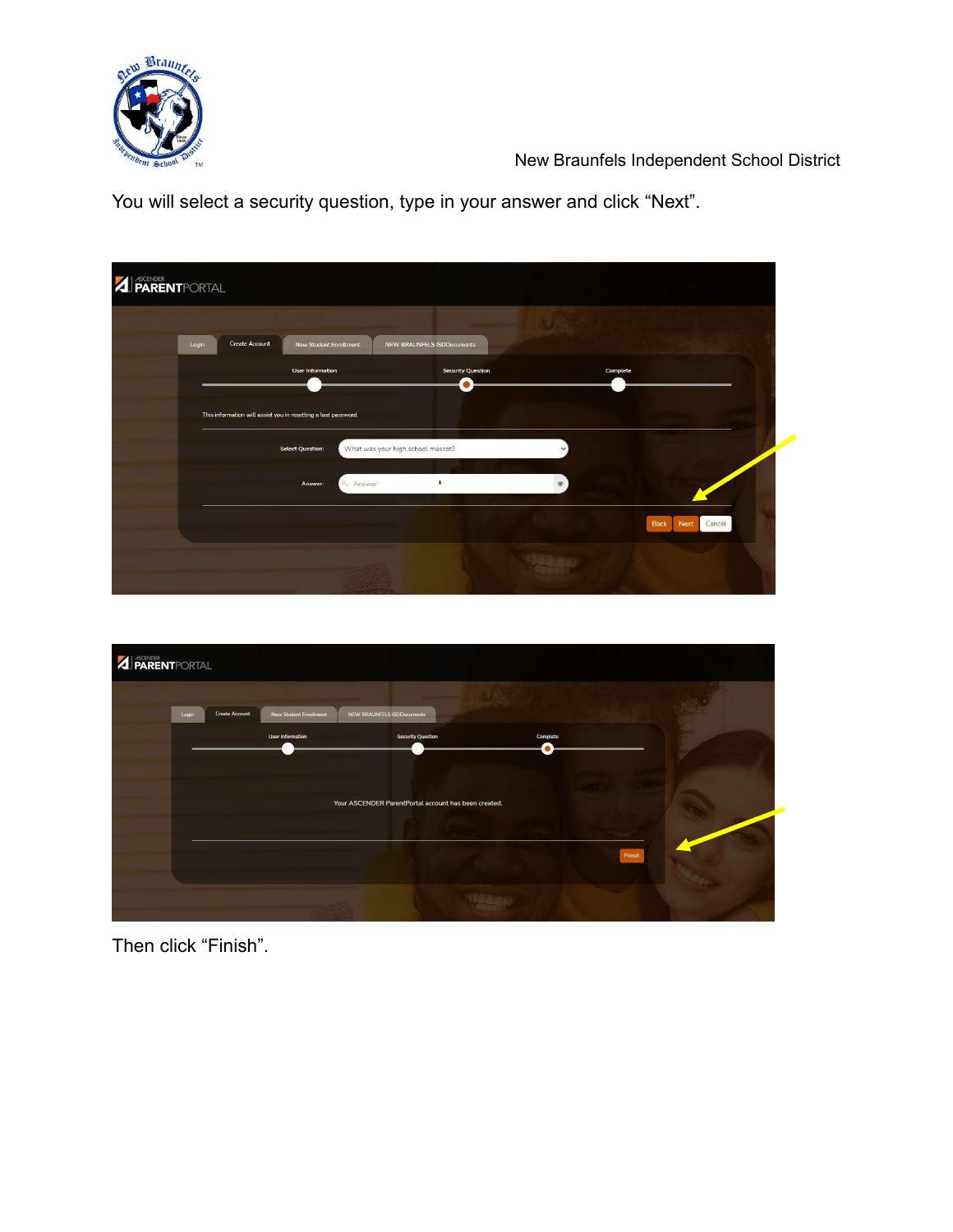

You will select a security question, type in your answer and click "Next".

| Login | <b>Create Account</b><br><b>New Student Enrollment</b>         | <b>NEW BRAUNFELS ISDDocuments</b> |                     |        |
|-------|----------------------------------------------------------------|-----------------------------------|---------------------|--------|
|       | <b>User Information</b>                                        | <b>Security Question</b>          | Complete            |        |
|       |                                                                | $\bullet$                         |                     |        |
|       | This information will assist you in resetting a lost password. |                                   |                     |        |
|       | <b>Select Question:</b>                                        | What was your high school mascot? | $\checkmark$        |        |
|       |                                                                |                                   |                     |        |
|       | Answer:                                                        |                                   | $\circledast$       |        |
|       | <sup>2</sup> Answer                                            |                                   |                     |        |
|       |                                                                |                                   | <b>Back</b><br>Next | Cancel |



Then click "Finish".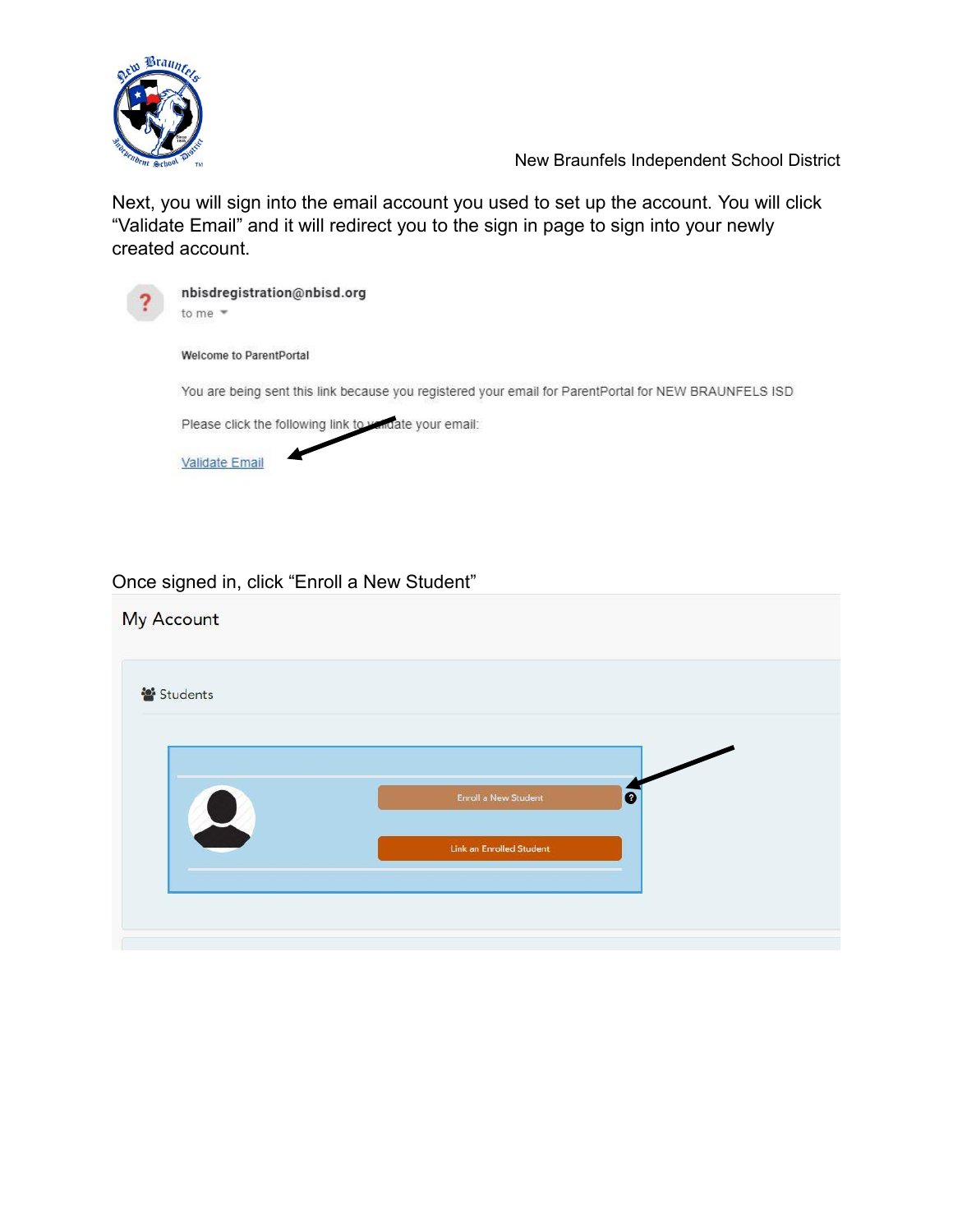

Next, you will sign into the email account you used to set up the account. You will click "Validate Email" and it will redirect you to the sign in page to sign into your newly created account.



#### Once signed in, click "Enroll a New Student"

| Students |                                          |
|----------|------------------------------------------|
|          |                                          |
|          | $\bullet$<br><b>Enroll a New Student</b> |
|          | Link an Enrolled Student                 |
|          |                                          |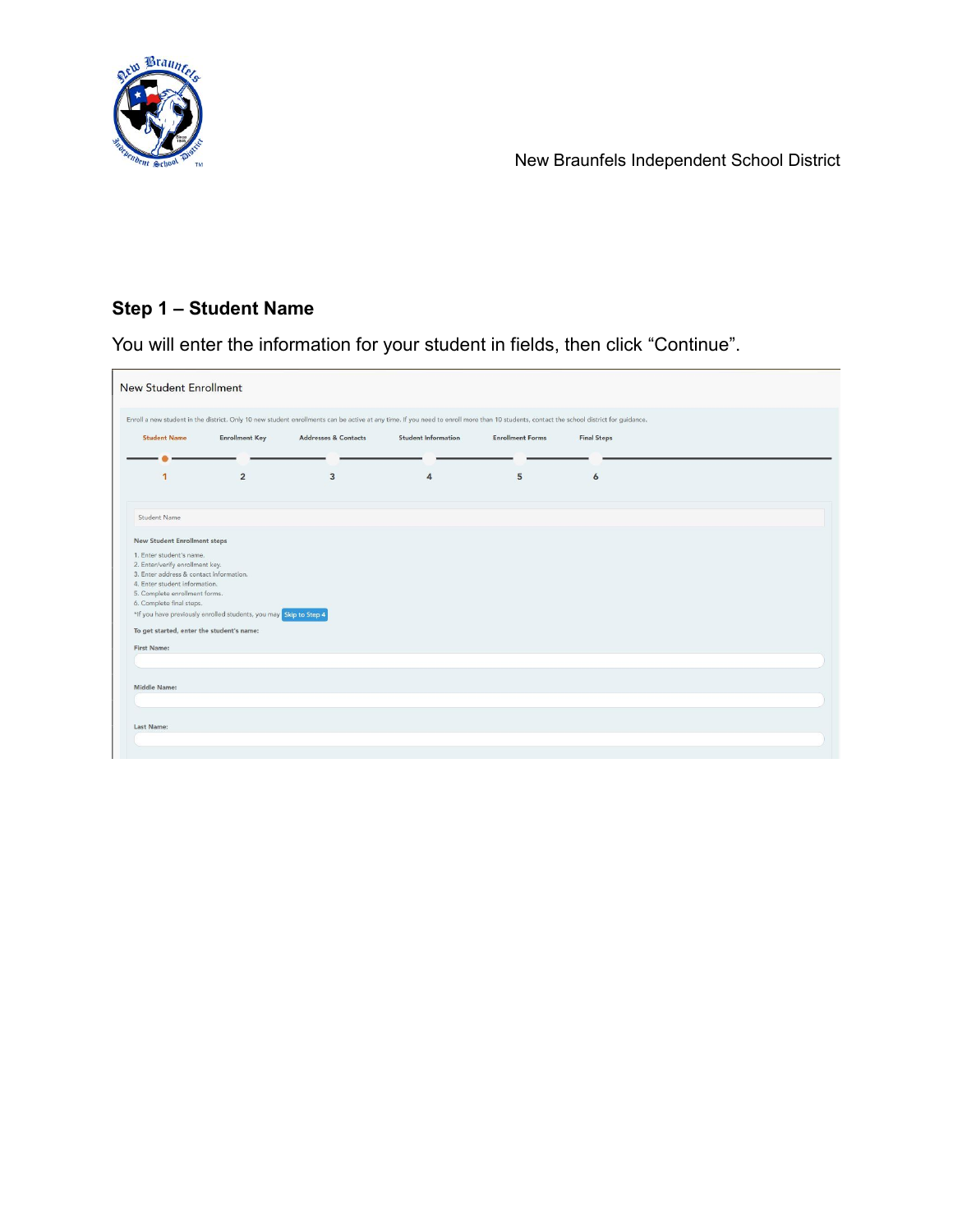

## **Step 1 – Student Name**

You will enter the information for your student in fields, then click "Continue".

|                                                           | <b>Enrollment Key</b>                                             | <b>Addresses &amp; Contacts</b> | <b>Student Information</b> | <b>Enrollment Forms</b> | <b>Final Steps</b> |  |
|-----------------------------------------------------------|-------------------------------------------------------------------|---------------------------------|----------------------------|-------------------------|--------------------|--|
|                                                           |                                                                   |                                 |                            |                         |                    |  |
| 1                                                         | $\overline{2}$                                                    | 3                               | $\overline{a}$             | 5                       | 6                  |  |
| Student Name                                              |                                                                   |                                 |                            |                         |                    |  |
| <b>New Student Enrollment steps</b>                       |                                                                   |                                 |                            |                         |                    |  |
| 1. Enter student's name.                                  |                                                                   |                                 |                            |                         |                    |  |
| 2. Enter/verify enrollment key.                           |                                                                   |                                 |                            |                         |                    |  |
| 3. Enter address & contact information.                   |                                                                   |                                 |                            |                         |                    |  |
| 4. Enter student information.                             |                                                                   |                                 |                            |                         |                    |  |
| 5. Complete enrollment forms.<br>6. Complete final steps. |                                                                   |                                 |                            |                         |                    |  |
|                                                           | *If you have previously enrolled students, you may Skip to Step 4 |                                 |                            |                         |                    |  |
|                                                           |                                                                   |                                 |                            |                         |                    |  |
|                                                           | To get started, enter the student's name:                         |                                 |                            |                         |                    |  |
|                                                           |                                                                   |                                 |                            |                         |                    |  |
|                                                           |                                                                   |                                 |                            |                         |                    |  |
| First Name:                                               |                                                                   |                                 |                            |                         |                    |  |
|                                                           |                                                                   |                                 |                            |                         |                    |  |
|                                                           |                                                                   |                                 |                            |                         |                    |  |
| Middle Name:                                              |                                                                   |                                 |                            |                         |                    |  |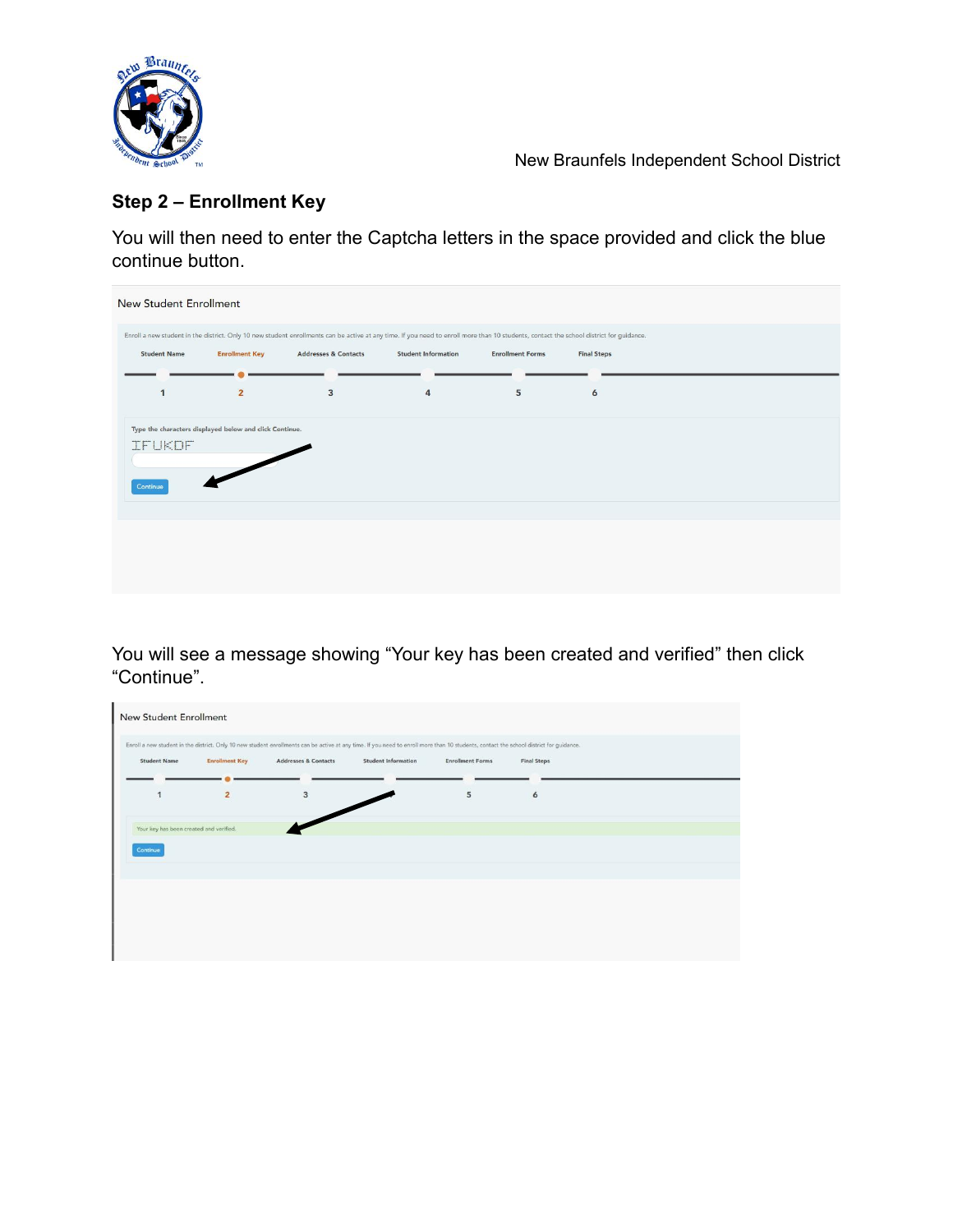

# **Step 2 – Enrollment Key**

You will then need to enter the Captcha letters in the space provided and click the blue continue button.

| <b>New Student Enrollment</b> |                                                         |                                                                                                                                                                                         |                            |                         |                    |  |
|-------------------------------|---------------------------------------------------------|-----------------------------------------------------------------------------------------------------------------------------------------------------------------------------------------|----------------------------|-------------------------|--------------------|--|
|                               |                                                         | Enroll a new student in the district. Only 10 new student enrollments can be active at any time. If you need to enroll more than 10 students, contact the school district for guidance. |                            |                         |                    |  |
| <b>Student Name</b>           | <b>Enrollment Key</b>                                   | <b>Addresses &amp; Contacts</b>                                                                                                                                                         | <b>Student Information</b> | <b>Enrollment Forms</b> | <b>Final Steps</b> |  |
| 1                             | $\overline{2}$                                          | $\overline{\mathbf{3}}$                                                                                                                                                                 | $\overline{4}$             | 5                       | 6                  |  |
|                               |                                                         |                                                                                                                                                                                         |                            |                         |                    |  |
|                               | Type the characters displayed below and click Continue. |                                                                                                                                                                                         |                            |                         |                    |  |
| <b>IFUKOF</b>                 |                                                         |                                                                                                                                                                                         |                            |                         |                    |  |
| Continue                      |                                                         |                                                                                                                                                                                         |                            |                         |                    |  |
|                               |                                                         |                                                                                                                                                                                         |                            |                         |                    |  |
|                               |                                                         |                                                                                                                                                                                         |                            |                         |                    |  |
|                               |                                                         |                                                                                                                                                                                         |                            |                         |                    |  |
|                               |                                                         |                                                                                                                                                                                         |                            |                         |                    |  |
|                               |                                                         |                                                                                                                                                                                         |                            |                         |                    |  |

You will see a message showing "Your key has been created and verified" then click "Continue".

| <b>New Student Enrollment</b>           |                         |                                                                                                                                                                                         |                            |                         |                    |  |
|-----------------------------------------|-------------------------|-----------------------------------------------------------------------------------------------------------------------------------------------------------------------------------------|----------------------------|-------------------------|--------------------|--|
|                                         |                         | Enroll a new student in the district. Only 10 new student enrollments can be active at any time. If you need to enroll more than 10 students, contact the school district for guidance. |                            |                         |                    |  |
| <b>Student Name</b>                     | <b>Enrollment Key</b>   | <b>Addresses &amp; Contacts</b>                                                                                                                                                         | <b>Student Information</b> | <b>Enrollment Forms</b> | <b>Final Steps</b> |  |
|                                         |                         |                                                                                                                                                                                         |                            |                         |                    |  |
| $\mathbf{1}$                            | $\overline{\mathbf{2}}$ | 3                                                                                                                                                                                       |                            | 5                       | 6                  |  |
|                                         |                         |                                                                                                                                                                                         |                            |                         |                    |  |
| Your key has been created and verified. |                         |                                                                                                                                                                                         |                            |                         |                    |  |
| Continue                                |                         |                                                                                                                                                                                         |                            |                         |                    |  |
|                                         |                         |                                                                                                                                                                                         |                            |                         |                    |  |
|                                         |                         |                                                                                                                                                                                         |                            |                         |                    |  |
|                                         |                         |                                                                                                                                                                                         |                            |                         |                    |  |
|                                         |                         |                                                                                                                                                                                         |                            |                         |                    |  |
|                                         |                         |                                                                                                                                                                                         |                            |                         |                    |  |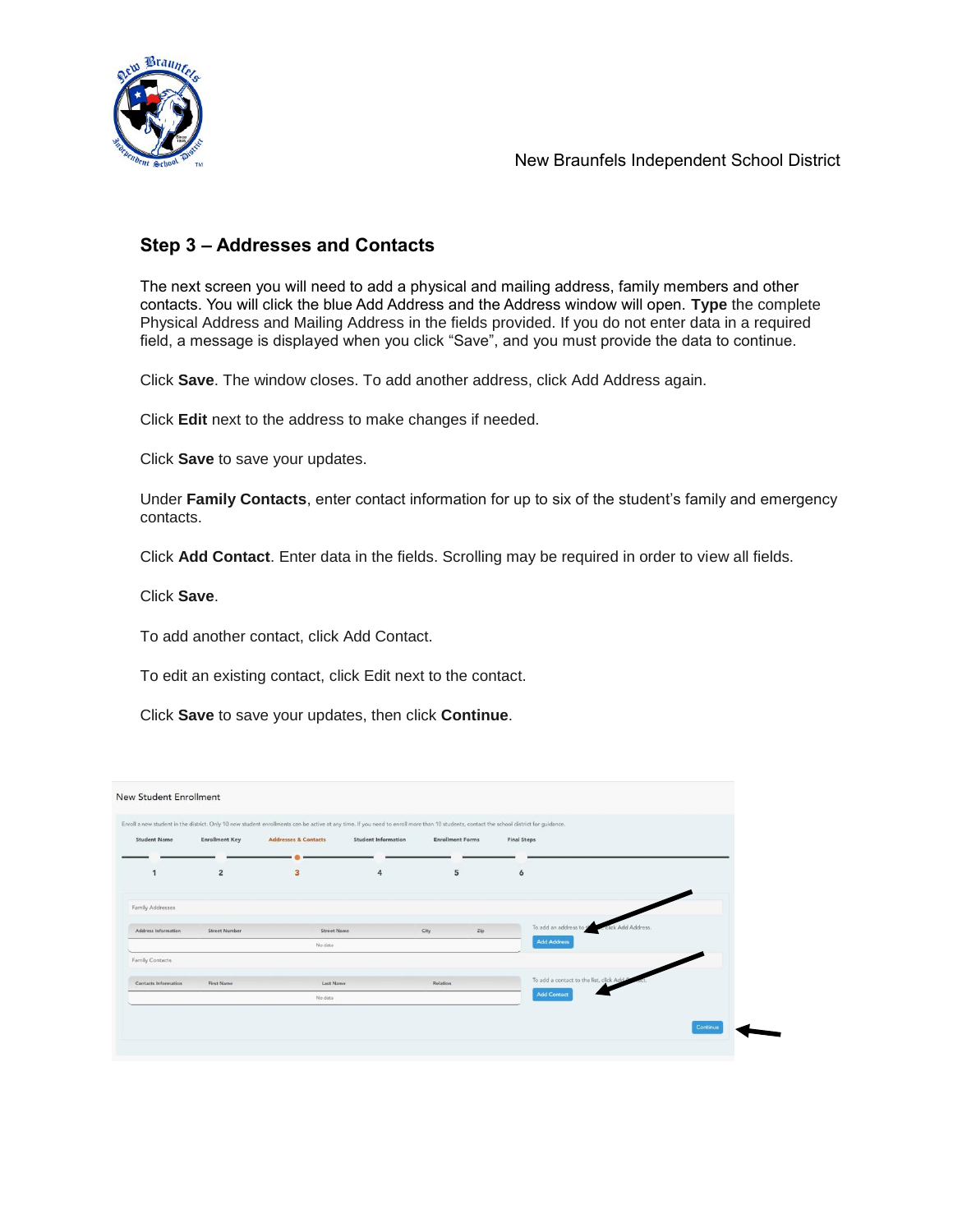

#### **Step 3 – Addresses and Contacts**

The next screen you will need to add a physical and mailing address, family members and other contacts. You will click the blue Add Address and the Address window will open. **Type** the complete Physical Address and Mailing Address in the fields provided. If you do not enter data in a required field, a message is displayed when you click "Save", and you must provide the data to continue.

Click **Save**. The window closes. To add another address, click Add Address again.

Click **Edit** next to the address to make changes if needed.

Click **Save** to save your updates.

Under **Family Contacts**, enter contact information for up to six of the student's family and emergency contacts.

Click **Add Contact**. Enter data in the fields. Scrolling may be required in order to view all fields.

Click **Save**.

To add another contact, click Add Contact.

To edit an existing contact, click Edit next to the contact.

Click **Save** to save your updates, then click **Continue**.

| <b>Student Name</b>  | <b>Enrollment Key</b> | <b>Addresses &amp; Contacts</b> | <b>Student Information</b> | <b>Enrollment Forms</b> |     | <b>Final Steps</b> |                                                  |  |
|----------------------|-----------------------|---------------------------------|----------------------------|-------------------------|-----|--------------------|--------------------------------------------------|--|
| $\mathbf{1}$         | $\overline{2}$        | 3                               | 4                          | 5                       |     | 6                  |                                                  |  |
| Family Addresses     |                       |                                 |                            |                         |     |                    |                                                  |  |
| Address Information  | <b>Street Number</b>  | <b>Street Name</b>              |                            | City                    | Zip |                    | To add an address to the<br>e click Add Address. |  |
|                      |                       | No data                         |                            |                         |     | <b>Add Address</b> |                                                  |  |
| Family Contacts      |                       |                                 |                            |                         |     |                    |                                                  |  |
| Contacts Information | First Name            | Last Name                       |                            | Relation                |     |                    | To add a contact to the list, click Add C        |  |
|                      |                       | No data                         |                            |                         |     | <b>Add Contact</b> |                                                  |  |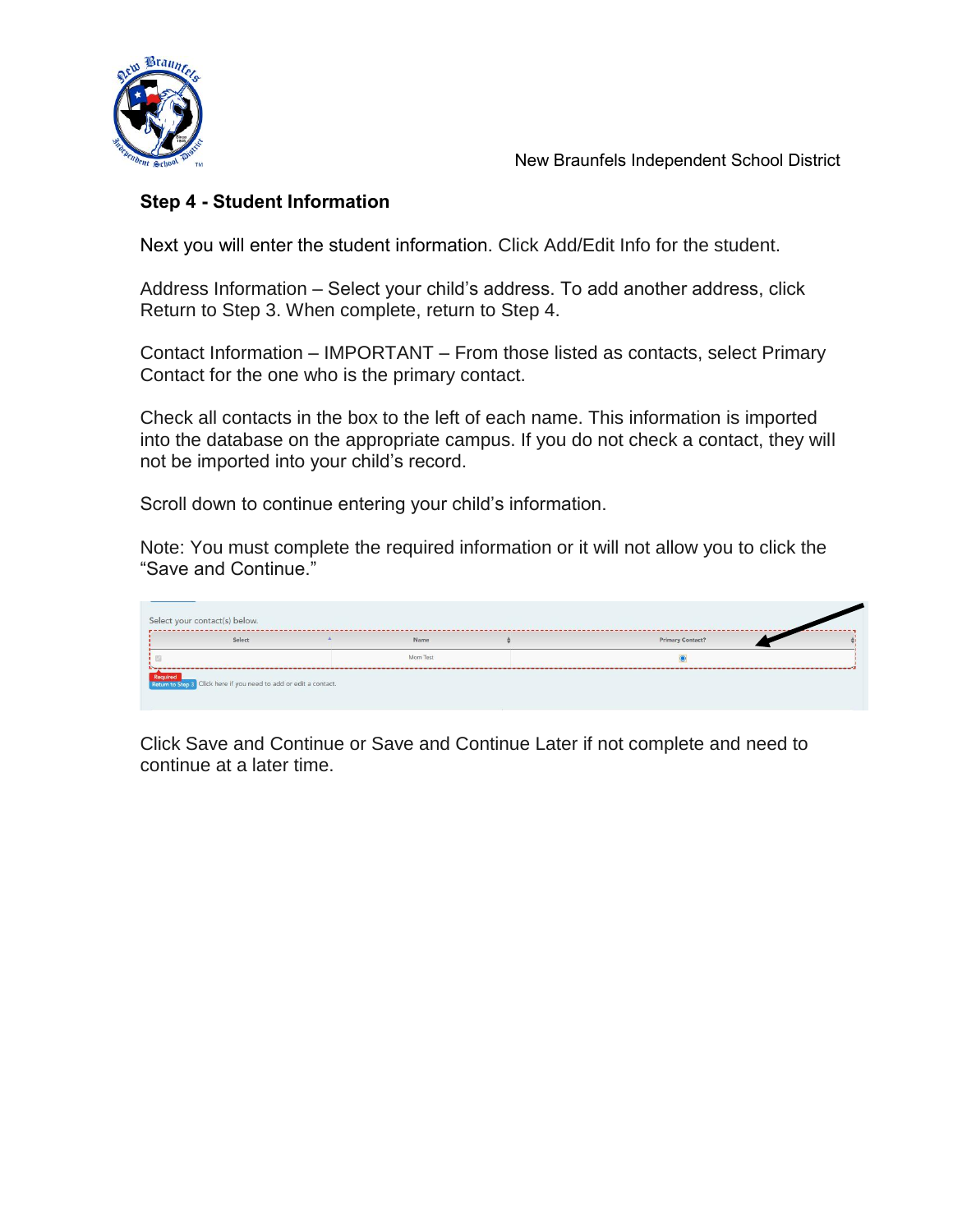

### **Step 4 - Student Information**

Next you will enter the student information. Click Add/Edit Info for the student.

Address Information – Select your child's address. To add another address, click Return to Step 3. When complete, return to Step 4.

Contact Information – IMPORTANT – From those listed as contacts, select Primary Contact for the one who is the primary contact.

Check all contacts in the box to the left of each name. This information is imported into the database on the appropriate campus. If you do not check a contact, they will not be imported into your child's record.

Scroll down to continue entering your child's information.

Note: You must complete the required information or it will not allow you to click the "Save and Continue."



Click Save and Continue or Save and Continue Later if not complete and need to continue at a later time.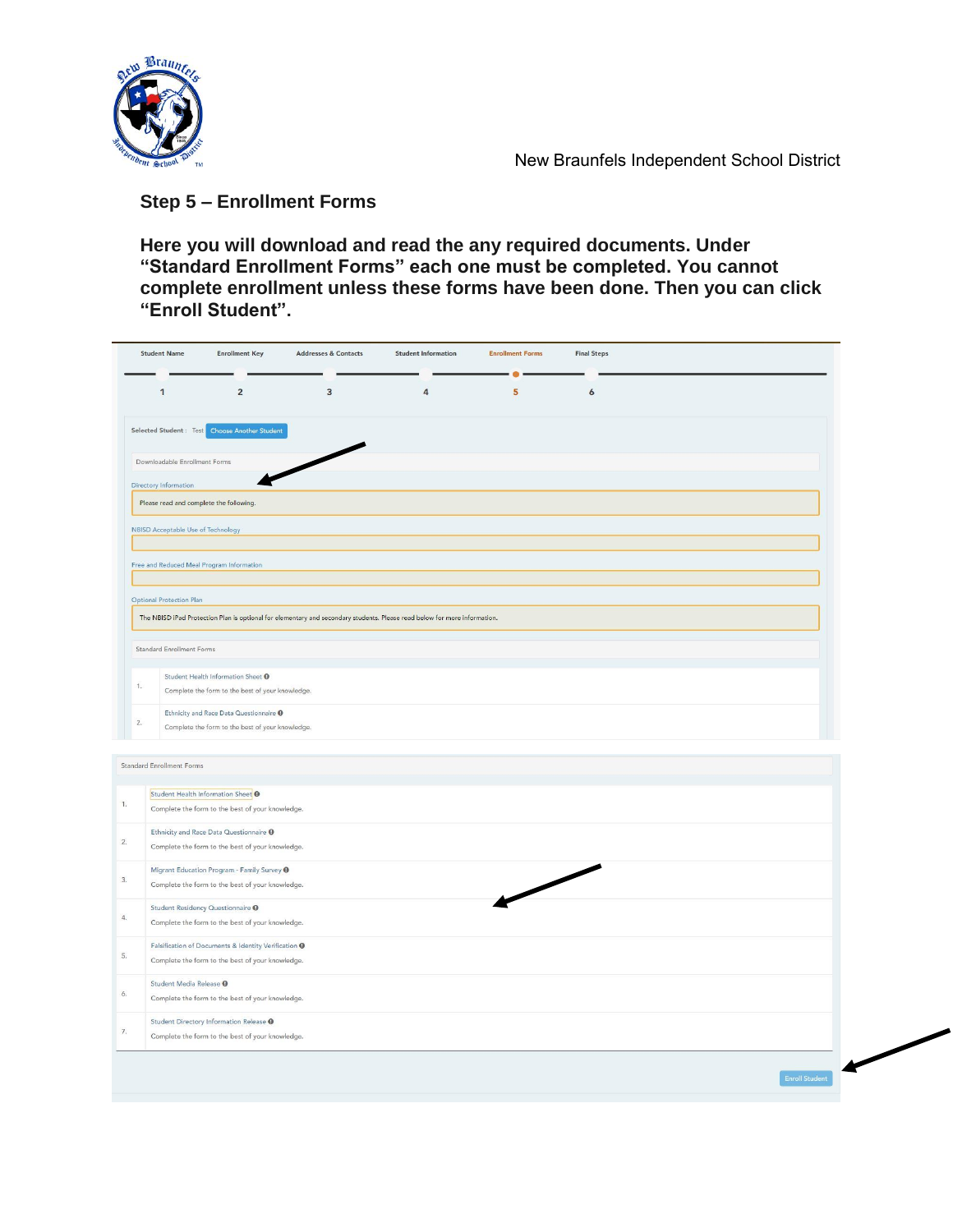

### **Step 5 – Enrollment Forms**

**Here you will download and read the any required documents. Under "Standard Enrollment Forms" each one must be completed. You cannot complete enrollment unless these forms have been done. Then you can click "Enroll Student".**

|                  | <b>Student Name</b>                           | <b>Enrollment Key</b>                                                                                               | <b>Addresses &amp; Contacts</b>                                                                                           | <b>Student Information</b> | <b>Enrollment Forms</b>  | <b>Final Steps</b>    |
|------------------|-----------------------------------------------|---------------------------------------------------------------------------------------------------------------------|---------------------------------------------------------------------------------------------------------------------------|----------------------------|--------------------------|-----------------------|
|                  | 1                                             | $\overline{2}$                                                                                                      | $\overline{\mathbf{3}}$                                                                                                   | 4                          | 5 <sup>5</sup>           | 6                     |
|                  |                                               | Selected Student: Test Choose Another Student                                                                       |                                                                                                                           |                            |                          |                       |
|                  | Downloadable Enrollment Forms                 |                                                                                                                     |                                                                                                                           |                            |                          |                       |
|                  | Directory Information                         |                                                                                                                     |                                                                                                                           |                            |                          |                       |
|                  | Please read and complete the following.       |                                                                                                                     |                                                                                                                           |                            |                          |                       |
|                  | NBISD Acceptable Use of Technology            |                                                                                                                     |                                                                                                                           |                            |                          |                       |
|                  |                                               | Free and Reduced Meal Program Information                                                                           |                                                                                                                           |                            |                          |                       |
|                  | <b>Optional Protection Plan</b>               |                                                                                                                     |                                                                                                                           |                            |                          |                       |
|                  |                                               |                                                                                                                     | The NBISD iPad Protection Plan is optional for elementary and secondary students. Please read below for more information. |                            |                          |                       |
|                  | Standard Enrollment Forms                     |                                                                                                                     |                                                                                                                           |                            |                          |                       |
| $\overline{1}$ . |                                               | Student Health Information Sheet <sup>O</sup><br>Complete the form to the best of your knowledge.                   |                                                                                                                           |                            |                          |                       |
|                  |                                               | Ethnicity and Race Data Questionnaire <sup>O</sup>                                                                  |                                                                                                                           |                            |                          |                       |
| 2.               |                                               | Complete the form to the best of your knowledge.                                                                    |                                                                                                                           |                            |                          |                       |
|                  | Standard Enrollment Forms                     |                                                                                                                     |                                                                                                                           |                            |                          |                       |
|                  | Student Health Information Sheet <sup>9</sup> |                                                                                                                     |                                                                                                                           |                            |                          |                       |
| 1.               |                                               | Complete the form to the best of your knowledge.                                                                    |                                                                                                                           |                            |                          |                       |
| 2.               |                                               | Ethnicity and Race Data Questionnaire <sup>O</sup><br>Complete the form to the best of your knowledge.              |                                                                                                                           |                            |                          |                       |
| 3.               |                                               | Migrant Education Program - Family Survey <sup>O</sup><br>Complete the form to the best of your knowledge.          |                                                                                                                           |                            | $\overline{\phantom{0}}$ |                       |
| $4. \,$          | Student Residency Questionnaire <sup>O</sup>  | Complete the form to the best of your knowledge.                                                                    |                                                                                                                           |                            |                          |                       |
| 5.               |                                               | Falsification of Documents & Identity Verification <sup>O</sup><br>Complete the form to the best of your knowledge. |                                                                                                                           |                            |                          |                       |
| 6.               | Student Media Release <sup>O</sup>            | Complete the form to the best of your knowledge.                                                                    |                                                                                                                           |                            |                          |                       |
| 7.               |                                               | Student Directory Information Release <sup>O</sup><br>Complete the form to the best of your knowledge.              |                                                                                                                           |                            |                          |                       |
|                  |                                               |                                                                                                                     |                                                                                                                           |                            |                          |                       |
|                  |                                               |                                                                                                                     |                                                                                                                           |                            |                          | <b>Enroll Student</b> |